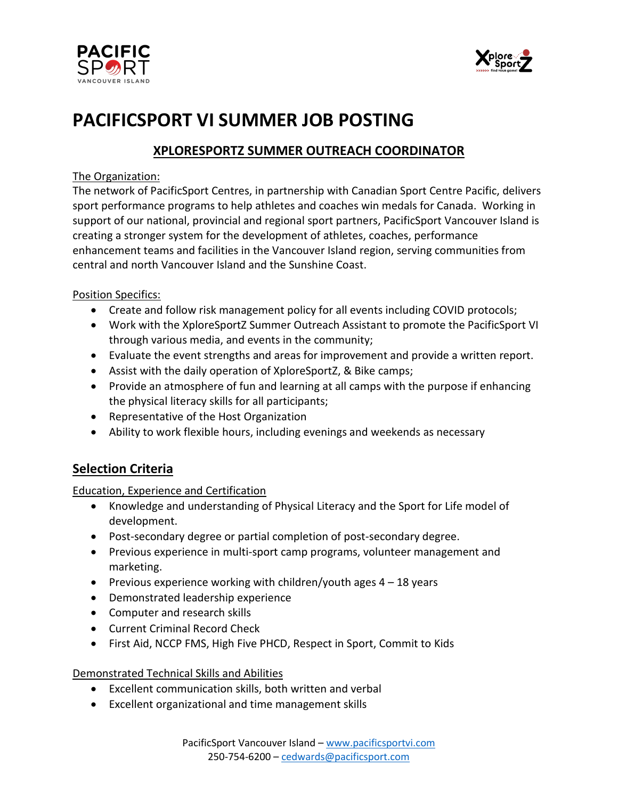



# **PACIFICSPORT VI SUMMER JOB POSTING**

## **XPLORESPORTZ SUMMER OUTREACH COORDINATOR**

## The Organization:

The network of PacificSport Centres, in partnership with Canadian Sport Centre Pacific, delivers sport performance programs to help athletes and coaches win medals for Canada. Working in support of our national, provincial and regional sport partners, PacificSport Vancouver Island is creating a stronger system for the development of athletes, coaches, performance enhancement teams and facilities in the Vancouver Island region, serving communities from central and north Vancouver Island and the Sunshine Coast.

## Position Specifics:

- Create and follow risk management policy for all events including COVID protocols;
- Work with the XploreSportZ Summer Outreach Assistant to promote the PacificSport VI through various media, and events in the community;
- Evaluate the event strengths and areas for improvement and provide a written report.
- Assist with the daily operation of XploreSportZ, & Bike camps;
- Provide an atmosphere of fun and learning at all camps with the purpose if enhancing the physical literacy skills for all participants;
- Representative of the Host Organization
- Ability to work flexible hours, including evenings and weekends as necessary

## **Selection Criteria**

### Education, Experience and Certification

- Knowledge and understanding of Physical Literacy and the Sport for Life model of development.
- Post-secondary degree or partial completion of post-secondary degree.
- Previous experience in multi-sport camp programs, volunteer management and marketing.
- Previous experience working with children/youth ages  $4 18$  years
- Demonstrated leadership experience
- Computer and research skills
- Current Criminal Record Check
- First Aid, NCCP FMS, High Five PHCD, Respect in Sport, Commit to Kids

### Demonstrated Technical Skills and Abilities

- Excellent communication skills, both written and verbal
- Excellent organizational and time management skills